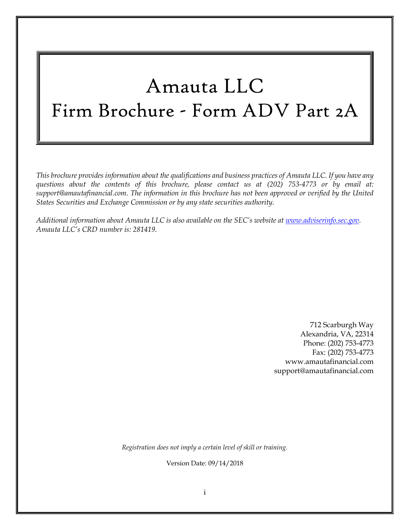# Amauta LLC Firm Brochure - Form ADV Part 2A

*This brochure provides information about the qualifications and business practices of Amauta LLC. If you have any questions about the contents of this brochure, please contact us at (202) 753-4773 or by email at: support@amautafinancial.com. The information in this brochure has not been approved or verified by the United States Securities and Exchange Commission or by any state securities authority.*

*Additional information about Amauta LLC is also available on the SEC's website at [www.adviserinfo.sec.gov.](http://www.adviserinfo.sec.gov/) Amauta LLC's CRD number is: 281419*.

> 712 Scarburgh Way Alexandria, VA, 22314 Phone: (202) 753-4773 Fax: (202) 753-4773 www.amautafinancial.com support@amautafinancial.com

*Registration does not imply a certain level of skill or training.*

Version Date: 09/14/2018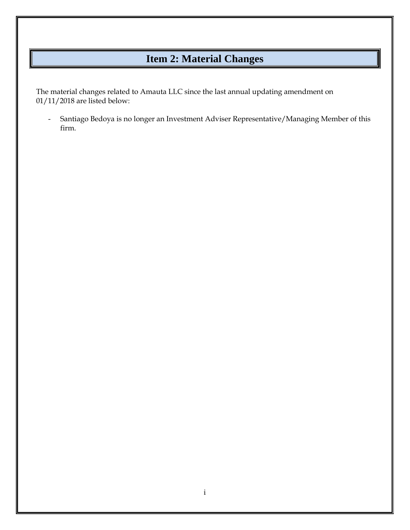## **Item 2: Material Changes**

<span id="page-1-0"></span>The material changes related to Amauta LLC since the last annual updating amendment on 01/11/2018 are listed below:

- Santiago Bedoya is no longer an Investment Adviser Representative/Managing Member of this firm.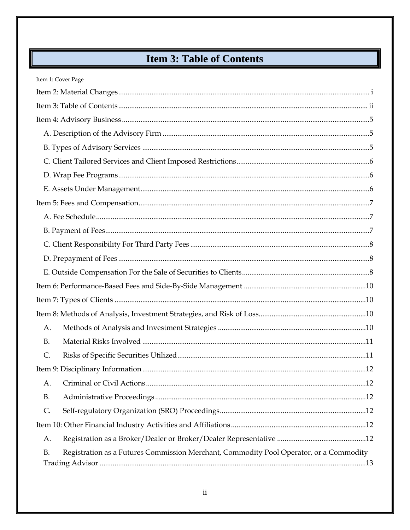# **Item 3: Table of Contents**

<span id="page-2-0"></span>

| Item 1: Cover Page                                                                                  |  |
|-----------------------------------------------------------------------------------------------------|--|
|                                                                                                     |  |
|                                                                                                     |  |
|                                                                                                     |  |
|                                                                                                     |  |
|                                                                                                     |  |
|                                                                                                     |  |
|                                                                                                     |  |
|                                                                                                     |  |
|                                                                                                     |  |
|                                                                                                     |  |
|                                                                                                     |  |
|                                                                                                     |  |
|                                                                                                     |  |
|                                                                                                     |  |
|                                                                                                     |  |
|                                                                                                     |  |
|                                                                                                     |  |
| A.                                                                                                  |  |
| <b>B.</b>                                                                                           |  |
| $\mathsf{C}$ .                                                                                      |  |
|                                                                                                     |  |
| А.                                                                                                  |  |
| <b>B.</b>                                                                                           |  |
| $\mathsf{C}$ .                                                                                      |  |
|                                                                                                     |  |
| A.                                                                                                  |  |
| Registration as a Futures Commission Merchant, Commodity Pool Operator, or a Commodity<br><b>B.</b> |  |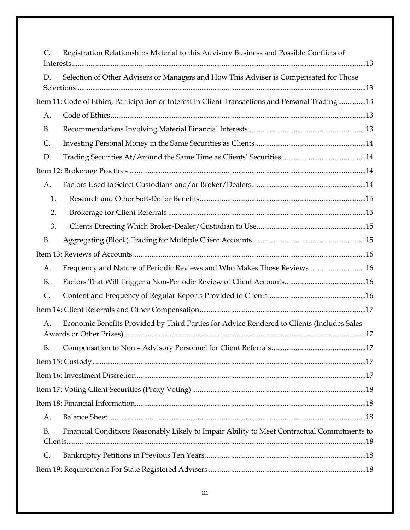| C.                                                                                          | Registration Relationships Material to this Advisory Business and Possible Conflicts of          |  |  |  |  |
|---------------------------------------------------------------------------------------------|--------------------------------------------------------------------------------------------------|--|--|--|--|
| Selection of Other Advisers or Managers and How This Adviser is Compensated for Those<br>D. |                                                                                                  |  |  |  |  |
|                                                                                             | Item 11: Code of Ethics, Participation or Interest in Client Transactions and Personal Trading13 |  |  |  |  |
| А.                                                                                          |                                                                                                  |  |  |  |  |
| <b>B.</b>                                                                                   |                                                                                                  |  |  |  |  |
| C.                                                                                          |                                                                                                  |  |  |  |  |
| D.                                                                                          |                                                                                                  |  |  |  |  |
|                                                                                             |                                                                                                  |  |  |  |  |
| А.                                                                                          |                                                                                                  |  |  |  |  |
| 1.                                                                                          |                                                                                                  |  |  |  |  |
| 2.                                                                                          |                                                                                                  |  |  |  |  |
| 3.                                                                                          |                                                                                                  |  |  |  |  |
| <b>B.</b>                                                                                   |                                                                                                  |  |  |  |  |
|                                                                                             |                                                                                                  |  |  |  |  |
| А.                                                                                          | Frequency and Nature of Periodic Reviews and Who Makes Those Reviews 16                          |  |  |  |  |
| <b>B.</b>                                                                                   |                                                                                                  |  |  |  |  |
| $\mathsf{C}.$                                                                               |                                                                                                  |  |  |  |  |
|                                                                                             |                                                                                                  |  |  |  |  |
| А.                                                                                          | Economic Benefits Provided by Third Parties for Advice Rendered to Clients (Includes Sales       |  |  |  |  |
| <b>B.</b>                                                                                   |                                                                                                  |  |  |  |  |
|                                                                                             |                                                                                                  |  |  |  |  |
|                                                                                             |                                                                                                  |  |  |  |  |
|                                                                                             |                                                                                                  |  |  |  |  |
|                                                                                             |                                                                                                  |  |  |  |  |
| A.                                                                                          |                                                                                                  |  |  |  |  |
| <b>B.</b>                                                                                   | Financial Conditions Reasonably Likely to Impair Ability to Meet Contractual Commitments to      |  |  |  |  |
| C.                                                                                          |                                                                                                  |  |  |  |  |
|                                                                                             |                                                                                                  |  |  |  |  |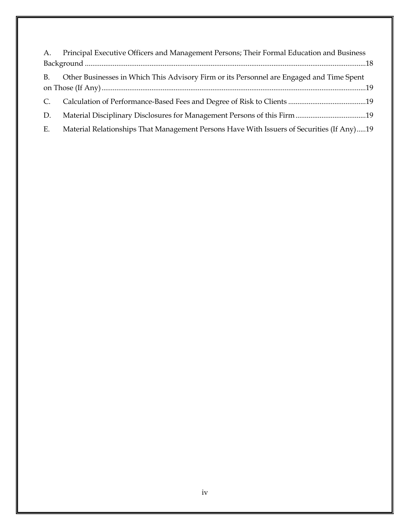| A.        | Principal Executive Officers and Management Persons; Their Formal Education and Business  |  |  |  |
|-----------|-------------------------------------------------------------------------------------------|--|--|--|
|           |                                                                                           |  |  |  |
| <b>B.</b> | Other Businesses in Which This Advisory Firm or its Personnel are Engaged and Time Spent  |  |  |  |
|           |                                                                                           |  |  |  |
| C.        |                                                                                           |  |  |  |
| D.        |                                                                                           |  |  |  |
| E.        | Material Relationships That Management Persons Have With Issuers of Securities (If Any)19 |  |  |  |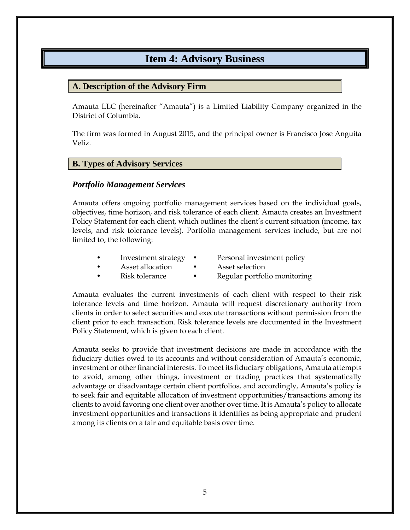### **Item 4: Advisory Business**

### <span id="page-5-1"></span><span id="page-5-0"></span>**A. Description of the Advisory Firm**

Amauta LLC (hereinafter "Amauta") is a Limited Liability Company organized in the District of Columbia.

The firm was formed in August 2015, and the principal owner is Francisco Jose Anguita Veliz.

### <span id="page-5-2"></span>**B. Types of Advisory Services**

#### *Portfolio Management Services*

Amauta offers ongoing portfolio management services based on the individual goals, objectives, time horizon, and risk tolerance of each client. Amauta creates an Investment Policy Statement for each client, which outlines the client's current situation (income, tax levels, and risk tolerance levels). Portfolio management services include, but are not limited to, the following:

- Investment strategy Personal investment policy
	- Asset allocation Asset selection
- Risk tolerance Regular portfolio monitoring

Amauta evaluates the current investments of each client with respect to their risk tolerance levels and time horizon. Amauta will request discretionary authority from clients in order to select securities and execute transactions without permission from the client prior to each transaction. Risk tolerance levels are documented in the Investment Policy Statement, which is given to each client.

Amauta seeks to provide that investment decisions are made in accordance with the fiduciary duties owed to its accounts and without consideration of Amauta's economic, investment or other financial interests. To meet its fiduciary obligations, Amauta attempts to avoid, among other things, investment or trading practices that systematically advantage or disadvantage certain client portfolios, and accordingly, Amauta's policy is to seek fair and equitable allocation of investment opportunities/transactions among its clients to avoid favoring one client over another over time. It is Amauta's policy to allocate investment opportunities and transactions it identifies as being appropriate and prudent among its clients on a fair and equitable basis over time.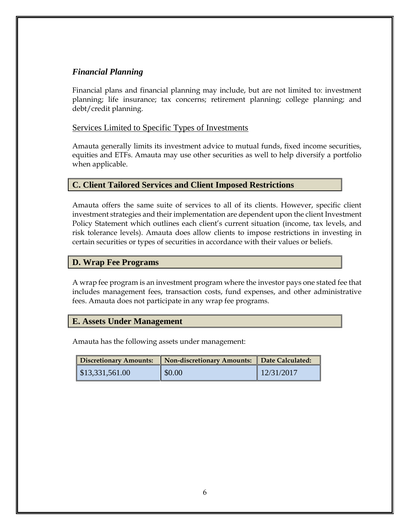### *Financial Planning*

Financial plans and financial planning may include, but are not limited to: investment planning; life insurance; tax concerns; retirement planning; college planning; and debt/credit planning.

#### Services Limited to Specific Types of Investments

Amauta generally limits its investment advice to mutual funds, fixed income securities, equities and ETFs. Amauta may use other securities as well to help diversify a portfolio when applicable.

### <span id="page-6-0"></span>**C. Client Tailored Services and Client Imposed Restrictions**

Amauta offers the same suite of services to all of its clients. However, specific client investment strategies and their implementation are dependent upon the client Investment Policy Statement which outlines each client's current situation (income, tax levels, and risk tolerance levels). Amauta does allow clients to impose restrictions in investing in certain securities or types of securities in accordance with their values or beliefs.

### <span id="page-6-1"></span>**D. Wrap Fee Programs**

A wrap fee program is an investment program where the investor pays one stated fee that includes management fees, transaction costs, fund expenses, and other administrative fees. Amauta does not participate in any wrap fee programs.

#### <span id="page-6-2"></span>**E. Assets Under Management**

Amauta has the following assets under management:

| Discretionary Amounts: | Non-discretionary Amounts:    Date Calculated: |            |
|------------------------|------------------------------------------------|------------|
| $\$\,13,331,561.00$    | $\parallel$ \$0.00                             | 12/31/2017 |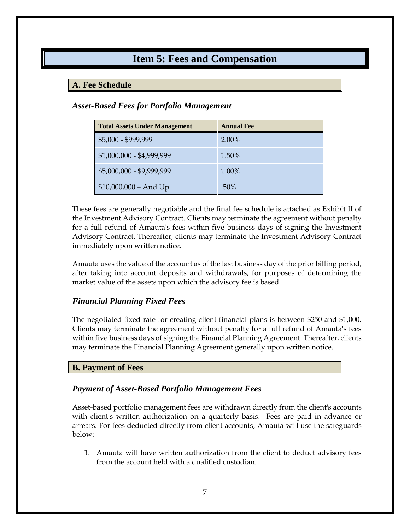### **Item 5: Fees and Compensation**

### <span id="page-7-1"></span><span id="page-7-0"></span>**A. Fee Schedule**

### *Asset-Based Fees for Portfolio Management*

| <b>Total Assets Under Management</b> | <b>Annual Fee</b> |
|--------------------------------------|-------------------|
| \$5,000 - \$999,999                  | 2.00%             |
| $$1,000,000 - $4,999,999$            | 1.50%             |
| \$5,000,000 - \$9,999,999            | 1.00%             |
| $$10,000,000 - And Up$               | .50%              |

These fees are generally negotiable and the final fee schedule is attached as Exhibit II of the Investment Advisory Contract. Clients may terminate the agreement without penalty for a full refund of Amauta's fees within five business days of signing the Investment Advisory Contract. Thereafter, clients may terminate the Investment Advisory Contract immediately upon written notice.

Amauta uses the value of the account as of the last business day of the prior billing period, after taking into account deposits and withdrawals, for purposes of determining the market value of the assets upon which the advisory fee is based.

### *Financial Planning Fixed Fees*

The negotiated fixed rate for creating client financial plans is between \$250 and \$1,000. Clients may terminate the agreement without penalty for a full refund of Amauta's fees within five business days of signing the Financial Planning Agreement. Thereafter, clients may terminate the Financial Planning Agreement generally upon written notice.

### <span id="page-7-2"></span>**B. Payment of Fees**

### *Payment of Asset-Based Portfolio Management Fees*

Asset-based portfolio management fees are withdrawn directly from the client's accounts with client's written authorization on a quarterly basis. Fees are paid in advance or arrears. For fees deducted directly from client accounts, Amauta will use the safeguards below:

1. Amauta will have written authorization from the client to deduct advisory fees from the account held with a qualified custodian.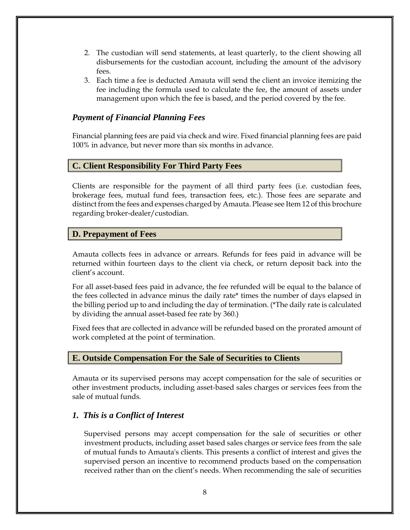- 2. The custodian will send statements, at least quarterly, to the client showing all disbursements for the custodian account, including the amount of the advisory fees.
- 3. Each time a fee is deducted Amauta will send the client an invoice itemizing the fee including the formula used to calculate the fee, the amount of assets under management upon which the fee is based, and the period covered by the fee.

### *Payment of Financial Planning Fees*

Financial planning fees are paid via check and wire. Fixed financial planning fees are paid 100% in advance, but never more than six months in advance.

### <span id="page-8-0"></span>**C. Client Responsibility For Third Party Fees**

Clients are responsible for the payment of all third party fees (i.e. custodian fees, brokerage fees, mutual fund fees, transaction fees, etc.). Those fees are separate and distinct from the fees and expenses charged by Amauta. Please see Item 12 of this brochure regarding broker-dealer/custodian.

### <span id="page-8-1"></span>**D. Prepayment of Fees**

Amauta collects fees in advance or arrears. Refunds for fees paid in advance will be returned within fourteen days to the client via check, or return deposit back into the client's account.

For all asset-based fees paid in advance, the fee refunded will be equal to the balance of the fees collected in advance minus the daily rate\* times the number of days elapsed in the billing period up to and including the day of termination. (\*The daily rate is calculated by dividing the annual asset-based fee rate by 360.)

Fixed fees that are collected in advance will be refunded based on the prorated amount of work completed at the point of termination.

### <span id="page-8-2"></span>**E. Outside Compensation For the Sale of Securities to Clients**

Amauta or its supervised persons may accept compensation for the sale of securities or other investment products, including asset-based sales charges or services fees from the sale of mutual funds.

### *1. This is a Conflict of Interest*

Supervised persons may accept compensation for the sale of securities or other investment products, including asset based sales charges or service fees from the sale of mutual funds to Amauta's clients. This presents a conflict of interest and gives the supervised person an incentive to recommend products based on the compensation received rather than on the client's needs. When recommending the sale of securities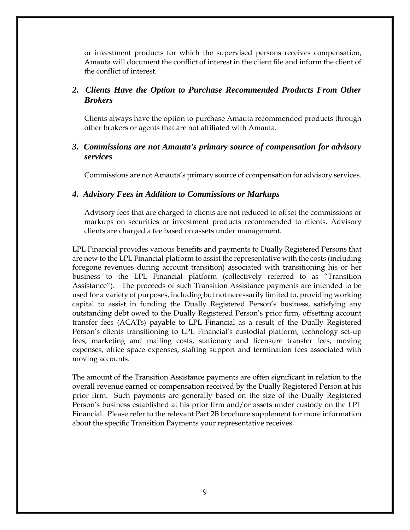or investment products for which the supervised persons receives compensation, Amauta will document the conflict of interest in the client file and inform the client of the conflict of interest.

### *2. Clients Have the Option to Purchase Recommended Products From Other Brokers*

Clients always have the option to purchase Amauta recommended products through other brokers or agents that are not affiliated with Amauta.

### *3. Commissions are not Amauta's primary source of compensation for advisory services*

Commissions are not Amauta's primary source of compensation for advisory services.

#### *4. Advisory Fees in Addition to Commissions or Markups*

Advisory fees that are charged to clients are not reduced to offset the commissions or markups on securities or investment products recommended to clients. Advisory clients are charged a fee based on assets under management.

LPL Financial provides various benefits and payments to Dually Registered Persons that are new to the LPL Financial platform to assist the representative with the costs (including foregone revenues during account transition) associated with transitioning his or her business to the LPL Financial platform (collectively referred to as "Transition Assistance"). The proceeds of such Transition Assistance payments are intended to be used for a variety of purposes, including but not necessarily limited to, providing working capital to assist in funding the Dually Registered Person's business, satisfying any outstanding debt owed to the Dually Registered Person's prior firm, offsetting account transfer fees (ACATs) payable to LPL Financial as a result of the Dually Registered Person's clients transitioning to LPL Financial's custodial platform, technology set-up fees, marketing and mailing costs, stationary and licensure transfer fees, moving expenses, office space expenses, staffing support and termination fees associated with moving accounts.

The amount of the Transition Assistance payments are often significant in relation to the overall revenue earned or compensation received by the Dually Registered Person at his prior firm. Such payments are generally based on the size of the Dually Registered Person's business established at his prior firm and/or assets under custody on the LPL Financial. Please refer to the relevant Part 2B brochure supplement for more information about the specific Transition Payments your representative receives.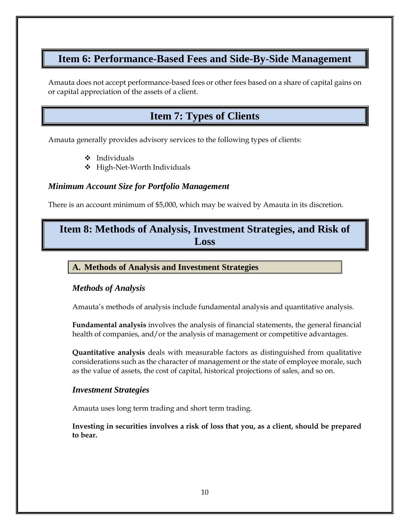### <span id="page-10-0"></span>**Item 6: Performance-Based Fees and Side-By-Side Management**

<span id="page-10-1"></span>Amauta does not accept performance-based fees or other fees based on a share of capital gains on or capital appreciation of the assets of a client.

### **Item 7: Types of Clients**

Amauta generally provides advisory services to the following types of clients:

- ❖ Individuals
- ❖ High-Net-Worth Individuals

### *Minimum Account Size for Portfolio Management*

There is an account minimum of \$5,000, which may be waived by Amauta in its discretion.

### <span id="page-10-2"></span>**Item 8: Methods of Analysis, Investment Strategies, and Risk of Loss**

### <span id="page-10-3"></span>**A. Methods of Analysis and Investment Strategies**

### *Methods of Analysis*

Amauta's methods of analysis include fundamental analysis and quantitative analysis.

**Fundamental analysis** involves the analysis of financial statements, the general financial health of companies, and/or the analysis of management or competitive advantages.

**Quantitative analysis** deals with measurable factors as distinguished from qualitative considerations such as the character of management or the state of employee morale, such as the value of assets, the cost of capital, historical projections of sales, and so on.

### *Investment Strategies*

Amauta uses long term trading and short term trading.

**Investing in securities involves a risk of loss that you, as a client, should be prepared to bear.**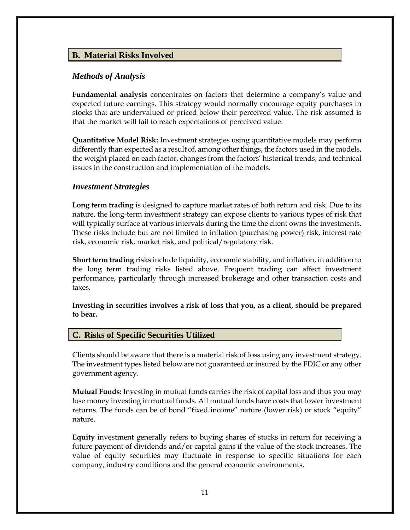### <span id="page-11-0"></span>**B. Material Risks Involved**

#### *Methods of Analysis*

**Fundamental analysis** concentrates on factors that determine a company's value and expected future earnings. This strategy would normally encourage equity purchases in stocks that are undervalued or priced below their perceived value. The risk assumed is that the market will fail to reach expectations of perceived value.

**Quantitative Model Risk:** Investment strategies using quantitative models may perform differently than expected as a result of, among other things, the factors used in the models, the weight placed on each factor, changes from the factors' historical trends, and technical issues in the construction and implementation of the models.

#### *Investment Strategies*

**Long term trading** is designed to capture market rates of both return and risk. Due to its nature, the long-term investment strategy can expose clients to various types of risk that will typically surface at various intervals during the time the client owns the investments. These risks include but are not limited to inflation (purchasing power) risk, interest rate risk, economic risk, market risk, and political/regulatory risk.

**Short term trading** risks include liquidity, economic stability, and inflation, in addition to the long term trading risks listed above. Frequent trading can affect investment performance, particularly through increased brokerage and other transaction costs and taxes.

**Investing in securities involves a risk of loss that you, as a client, should be prepared to bear.**

#### <span id="page-11-1"></span>**C. Risks of Specific Securities Utilized**

Clients should be aware that there is a material risk of loss using any investment strategy. The investment types listed below are not guaranteed or insured by the FDIC or any other government agency.

**Mutual Funds:** Investing in mutual funds carries the risk of capital loss and thus you may lose money investing in mutual funds. All mutual funds have costs that lower investment returns. The funds can be of bond "fixed income" nature (lower risk) or stock "equity" nature.

**Equity** investment generally refers to buying shares of stocks in return for receiving a future payment of dividends and/or capital gains if the value of the stock increases. The value of equity securities may fluctuate in response to specific situations for each company, industry conditions and the general economic environments.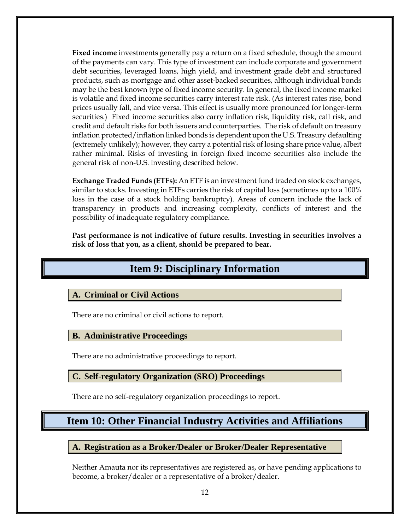**Fixed income** investments generally pay a return on a fixed schedule, though the amount of the payments can vary. This type of investment can include corporate and government debt securities, leveraged loans, high yield, and investment grade debt and structured products, such as mortgage and other asset-backed securities, although individual bonds may be the best known type of fixed income security. In general, the fixed income market is volatile and fixed income securities carry interest rate risk. (As interest rates rise, bond prices usually fall, and vice versa. This effect is usually more pronounced for longer-term securities.) Fixed income securities also carry inflation risk, liquidity risk, call risk, and credit and default risks for both issuers and counterparties. The risk of default on treasury inflation protected/inflation linked bonds is dependent upon the U.S. Treasury defaulting (extremely unlikely); however, they carry a potential risk of losing share price value, albeit rather minimal. Risks of investing in foreign fixed income securities also include the general risk of non-U.S. investing described below.

**Exchange Traded Funds (ETFs):** An ETF is an investment fund traded on stock exchanges, similar to stocks. Investing in ETFs carries the risk of capital loss (sometimes up to a 100% loss in the case of a stock holding bankruptcy). Areas of concern include the lack of transparency in products and increasing complexity, conflicts of interest and the possibility of inadequate regulatory compliance.

<span id="page-12-0"></span>**Past performance is not indicative of future results. Investing in securities involves a risk of loss that you, as a client, should be prepared to bear.**

### **Item 9: Disciplinary Information**

### <span id="page-12-1"></span>**A. Criminal or Civil Actions**

There are no criminal or civil actions to report.

#### <span id="page-12-2"></span>**B. Administrative Proceedings**

There are no administrative proceedings to report.

#### <span id="page-12-3"></span>**C. Self-regulatory Organization (SRO) Proceedings**

There are no self-regulatory organization proceedings to report.

### <span id="page-12-4"></span>**Item 10: Other Financial Industry Activities and Affiliations**

#### <span id="page-12-5"></span>**A. Registration as a Broker/Dealer or Broker/Dealer Representative**

Neither Amauta nor its representatives are registered as, or have pending applications to become, a broker/dealer or a representative of a broker/dealer.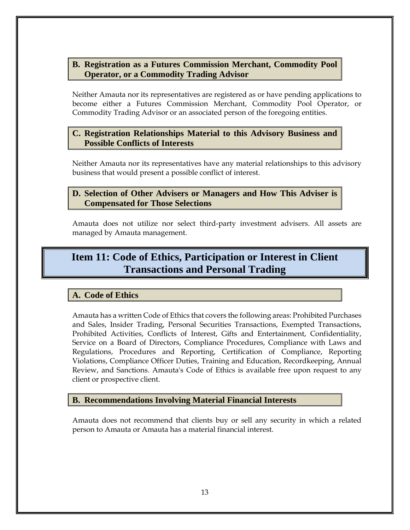### <span id="page-13-0"></span>**B. Registration as a Futures Commission Merchant, Commodity Pool Operator, or a Commodity Trading Advisor**

Neither Amauta nor its representatives are registered as or have pending applications to become either a Futures Commission Merchant, Commodity Pool Operator, or Commodity Trading Advisor or an associated person of the foregoing entities.

### <span id="page-13-1"></span>**C. Registration Relationships Material to this Advisory Business and Possible Conflicts of Interests**

Neither Amauta nor its representatives have any material relationships to this advisory business that would present a possible conflict of interest.

### <span id="page-13-2"></span>**D. Selection of Other Advisers or Managers and How This Adviser is Compensated for Those Selections**

Amauta does not utilize nor select third-party investment advisers. All assets are managed by Amauta management.

### <span id="page-13-3"></span>**Item 11: Code of Ethics, Participation or Interest in Client Transactions and Personal Trading**

### <span id="page-13-4"></span>**A. Code of Ethics**

Amauta has a written Code of Ethics that covers the following areas: Prohibited Purchases and Sales, Insider Trading, Personal Securities Transactions, Exempted Transactions, Prohibited Activities, Conflicts of Interest, Gifts and Entertainment, Confidentiality, Service on a Board of Directors, Compliance Procedures, Compliance with Laws and Regulations, Procedures and Reporting, Certification of Compliance, Reporting Violations, Compliance Officer Duties, Training and Education, Recordkeeping, Annual Review, and Sanctions. Amauta's Code of Ethics is available free upon request to any client or prospective client.

### <span id="page-13-5"></span>**B. Recommendations Involving Material Financial Interests**

Amauta does not recommend that clients buy or sell any security in which a related person to Amauta or Amauta has a material financial interest.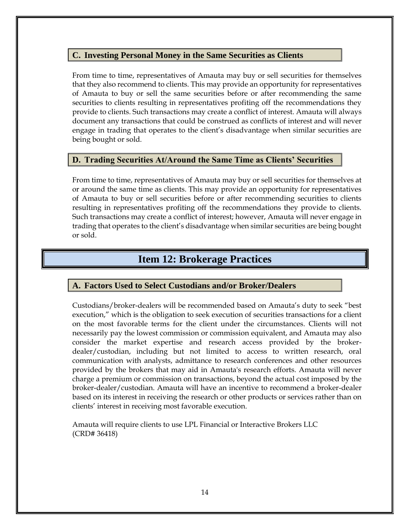### <span id="page-14-0"></span>**C. Investing Personal Money in the Same Securities as Clients**

From time to time, representatives of Amauta may buy or sell securities for themselves that they also recommend to clients. This may provide an opportunity for representatives of Amauta to buy or sell the same securities before or after recommending the same securities to clients resulting in representatives profiting off the recommendations they provide to clients. Such transactions may create a conflict of interest. Amauta will always document any transactions that could be construed as conflicts of interest and will never engage in trading that operates to the client's disadvantage when similar securities are being bought or sold.

### <span id="page-14-1"></span>**D. Trading Securities At/Around the Same Time as Clients' Securities**

From time to time, representatives of Amauta may buy or sell securities for themselves at or around the same time as clients. This may provide an opportunity for representatives of Amauta to buy or sell securities before or after recommending securities to clients resulting in representatives profiting off the recommendations they provide to clients. Such transactions may create a conflict of interest; however, Amauta will never engage in trading that operates to the client's disadvantage when similar securities are being bought or sold.

### **Item 12: Brokerage Practices**

#### <span id="page-14-3"></span><span id="page-14-2"></span>**A. Factors Used to Select Custodians and/or Broker/Dealers**

Custodians/broker-dealers will be recommended based on Amauta's duty to seek "best execution," which is the obligation to seek execution of securities transactions for a client on the most favorable terms for the client under the circumstances. Clients will not necessarily pay the lowest commission or commission equivalent, and Amauta may also consider the market expertise and research access provided by the brokerdealer/custodian, including but not limited to access to written research, oral communication with analysts, admittance to research conferences and other resources provided by the brokers that may aid in Amauta's research efforts. Amauta will never charge a premium or commission on transactions, beyond the actual cost imposed by the broker-dealer/custodian. Amauta will have an incentive to recommend a broker-dealer based on its interest in receiving the research or other products or services rather than on clients' interest in receiving most favorable execution.

Amauta will require clients to use LPL Financial or Interactive Brokers LLC (CRD# 36418)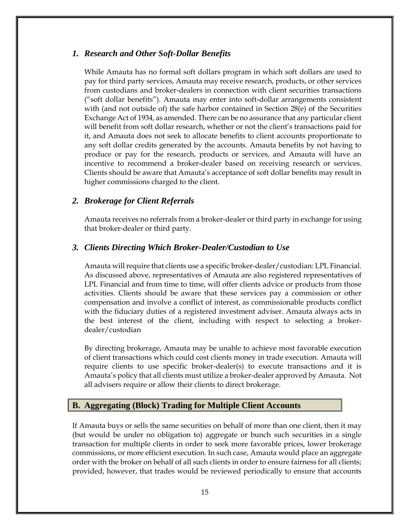#### <span id="page-15-0"></span>*1. Research and Other Soft-Dollar Benefits*

While Amauta has no formal soft dollars program in which soft dollars are used to pay for third party services, Amauta may receive research, products, or other services from custodians and broker-dealers in connection with client securities transactions ("soft dollar benefits"). Amauta may enter into soft-dollar arrangements consistent with (and not outside of) the safe harbor contained in Section 28(e) of the Securities Exchange Act of 1934, as amended. There can be no assurance that any particular client will benefit from soft dollar research, whether or not the client's transactions paid for it, and Amauta does not seek to allocate benefits to client accounts proportionate to any soft dollar credits generated by the accounts. Amauta benefits by not having to produce or pay for the research, products or services, and Amauta will have an incentive to recommend a broker-dealer based on receiving research or services. Clients should be aware that Amauta's acceptance of soft dollar benefits may result in higher commissions charged to the client.

#### <span id="page-15-1"></span>*2. Brokerage for Client Referrals*

Amauta receives no referrals from a broker-dealer or third party in exchange for using that broker-dealer or third party.

#### <span id="page-15-2"></span>*3. Clients Directing Which Broker-Dealer/Custodian to Use*

Amauta will require that clients use a specific broker-dealer/custodian: LPL Financial. As discussed above, representatives of Amauta are also registered representatives of LPL Financial and from time to time, will offer clients advice or products from those activities. Clients should be aware that these services pay a commission or other compensation and involve a conflict of interest, as commissionable products conflict with the fiduciary duties of a registered investment adviser. Amauta always acts in the best interest of the client, including with respect to selecting a brokerdealer/custodian

By directing brokerage, Amauta may be unable to achieve most favorable execution of client transactions which could cost clients money in trade execution. Amauta will require clients to use specific broker-dealer(s) to execute transactions and it is Amauta's policy that all clients must utilize a broker-dealer approved by Amauta. Not all advisers require or allow their clients to direct brokerage.

#### <span id="page-15-3"></span>**B. Aggregating (Block) Trading for Multiple Client Accounts**

If Amauta buys or sells the same securities on behalf of more than one client, then it may (but would be under no obligation to) aggregate or bunch such securities in a single transaction for multiple clients in order to seek more favorable prices, lower brokerage commissions, or more efficient execution. In such case, Amauta would place an aggregate order with the broker on behalf of all such clients in order to ensure fairness for all clients; provided, however, that trades would be reviewed periodically to ensure that accounts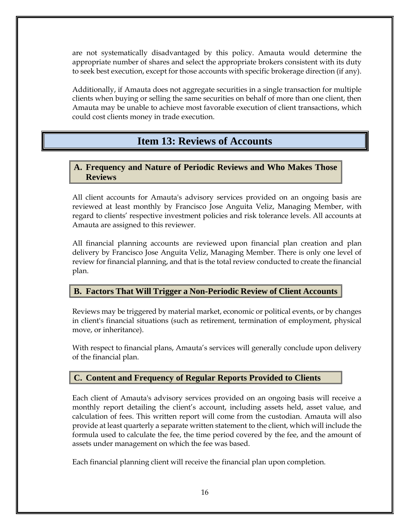are not systematically disadvantaged by this policy. Amauta would determine the appropriate number of shares and select the appropriate brokers consistent with its duty to seek best execution, except for those accounts with specific brokerage direction (if any).

Additionally, if Amauta does not aggregate securities in a single transaction for multiple clients when buying or selling the same securities on behalf of more than one client, then Amauta may be unable to achieve most favorable execution of client transactions, which could cost clients money in trade execution.

### **Item 13: Reviews of Accounts**

### <span id="page-16-1"></span><span id="page-16-0"></span>**A. Frequency and Nature of Periodic Reviews and Who Makes Those Reviews**

All client accounts for Amauta's advisory services provided on an ongoing basis are reviewed at least monthly by Francisco Jose Anguita Veliz, Managing Member, with regard to clients' respective investment policies and risk tolerance levels. All accounts at Amauta are assigned to this reviewer.

All financial planning accounts are reviewed upon financial plan creation and plan delivery by Francisco Jose Anguita Veliz, Managing Member. There is only one level of review for financial planning, and that is the total review conducted to create the financial plan.

### <span id="page-16-2"></span>**B. Factors That Will Trigger a Non-Periodic Review of Client Accounts**

Reviews may be triggered by material market, economic or political events, or by changes in client's financial situations (such as retirement, termination of employment, physical move, or inheritance).

With respect to financial plans, Amauta's services will generally conclude upon delivery of the financial plan.

### <span id="page-16-3"></span>**C. Content and Frequency of Regular Reports Provided to Clients**

Each client of Amauta's advisory services provided on an ongoing basis will receive a monthly report detailing the client's account, including assets held, asset value, and calculation of fees. This written report will come from the custodian. Amauta will also provide at least quarterly a separate written statement to the client, which will include the formula used to calculate the fee, the time period covered by the fee, and the amount of assets under management on which the fee was based.

Each financial planning client will receive the financial plan upon completion.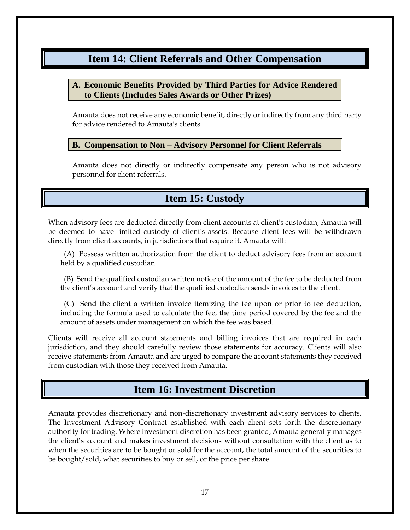### <span id="page-17-0"></span>**Item 14: Client Referrals and Other Compensation**

### <span id="page-17-1"></span>**A. Economic Benefits Provided by Third Parties for Advice Rendered to Clients (Includes Sales Awards or Other Prizes)**

Amauta does not receive any economic benefit, directly or indirectly from any third party for advice rendered to Amauta's clients.

### <span id="page-17-2"></span>**B. Compensation to Non – Advisory Personnel for Client Referrals**

Amauta does not directly or indirectly compensate any person who is not advisory personnel for client referrals.

### **Item 15: Custody**

<span id="page-17-3"></span>When advisory fees are deducted directly from client accounts at client's custodian, Amauta will be deemed to have limited custody of client's assets. Because client fees will be withdrawn directly from client accounts, in jurisdictions that require it, Amauta will:

 (A) Possess written authorization from the client to deduct advisory fees from an account held by a qualified custodian.

 (B) Send the qualified custodian written notice of the amount of the fee to be deducted from the client's account and verify that the qualified custodian sends invoices to the client.

 (C) Send the client a written invoice itemizing the fee upon or prior to fee deduction, including the formula used to calculate the fee, the time period covered by the fee and the amount of assets under management on which the fee was based.

Clients will receive all account statements and billing invoices that are required in each jurisdiction, and they should carefully review those statements for accuracy. Clients will also receive statements from Amauta and are urged to compare the account statements they received from custodian with those they received from Amauta.

### **Item 16: Investment Discretion**

<span id="page-17-4"></span>Amauta provides discretionary and non-discretionary investment advisory services to clients. The Investment Advisory Contract established with each client sets forth the discretionary authority for trading. Where investment discretion has been granted, Amauta generally manages the client's account and makes investment decisions without consultation with the client as to when the securities are to be bought or sold for the account, the total amount of the securities to be bought/sold, what securities to buy or sell, or the price per share.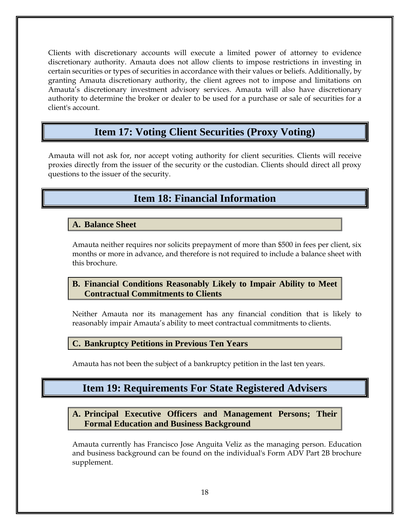Clients with discretionary accounts will execute a limited power of attorney to evidence discretionary authority. Amauta does not allow clients to impose restrictions in investing in certain securities or types of securities in accordance with their values or beliefs. Additionally, by granting Amauta discretionary authority, the client agrees not to impose and limitations on Amauta's discretionary investment advisory services. Amauta will also have discretionary authority to determine the broker or dealer to be used for a purchase or sale of securities for a client's account.

### **Item 17: Voting Client Securities (Proxy Voting)**

<span id="page-18-1"></span><span id="page-18-0"></span>Amauta will not ask for, nor accept voting authority for client securities. Clients will receive proxies directly from the issuer of the security or the custodian. Clients should direct all proxy questions to the issuer of the security.

### **Item 18: Financial Information**

### <span id="page-18-2"></span>**A. Balance Sheet**

Amauta neither requires nor solicits prepayment of more than \$500 in fees per client, six months or more in advance, and therefore is not required to include a balance sheet with this brochure.

### <span id="page-18-3"></span>**B. Financial Conditions Reasonably Likely to Impair Ability to Meet Contractual Commitments to Clients**

Neither Amauta nor its management has any financial condition that is likely to reasonably impair Amauta's ability to meet contractual commitments to clients.

#### <span id="page-18-4"></span>**C. Bankruptcy Petitions in Previous Ten Years**

<span id="page-18-5"></span>Amauta has not been the subject of a bankruptcy petition in the last ten years.

### **Item 19: Requirements For State Registered Advisers**

<span id="page-18-6"></span>**A. Principal Executive Officers and Management Persons; Their Formal Education and Business Background** 

Amauta currently has Francisco Jose Anguita Veliz as the managing person. Education and business background can be found on the individual's Form ADV Part 2B brochure supplement.